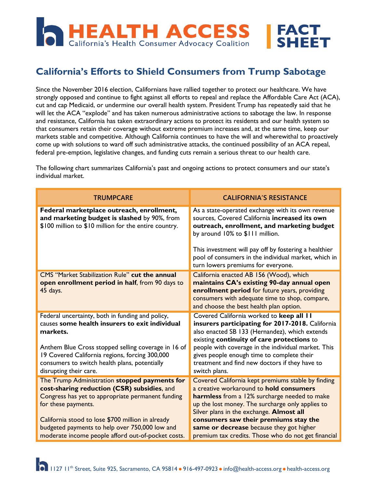

## **California's Efforts to Shield Consumers from Trump Sabotage**

Since the November 2016 election, Californians have rallied together to protect our healthcare. We have strongly opposed and continue to fight against all efforts to repeal and replace the Affordable Care Act (ACA), cut and cap Medicaid, or undermine our overall health system. President Trump has repeatedly said that he will let the ACA "explode" and has taken numerous administrative actions to sabotage the law. In response and resistance, California has taken extraordinary actions to protect its residents and our health system so that consumers retain their coverage without extreme premium increases and, at the same time, keep our markets stable and competitive. Although California continues to have the will and wherewithal to proactively come up with solutions to ward off such administrative attacks, the continued possibility of an ACA repeal, federal pre-emption, legislative changes, and funding cuts remain a serious threat to our health care.

The following chart summarizes California's past and ongoing actions to protect consumers and our state's individual market.

| <b>TRUMPCARE</b>                                                                                                                                                                                                                                                                                                                      | <b>CALIFORNIA'S RESISTANCE</b>                                                                                                                                                                                                                                                                                                                                                            |
|---------------------------------------------------------------------------------------------------------------------------------------------------------------------------------------------------------------------------------------------------------------------------------------------------------------------------------------|-------------------------------------------------------------------------------------------------------------------------------------------------------------------------------------------------------------------------------------------------------------------------------------------------------------------------------------------------------------------------------------------|
| Federal marketplace outreach, enrollment,<br>and marketing budget is slashed by 90%, from<br>\$100 million to \$10 million for the entire country.                                                                                                                                                                                    | As a state-operated exchange with its own revenue<br>sources, Covered California increased its own<br>outreach, enrollment, and marketing budget<br>by around 10% to \$111 million.                                                                                                                                                                                                       |
|                                                                                                                                                                                                                                                                                                                                       | This investment will pay off by fostering a healthier<br>pool of consumers in the individual market, which in<br>turn lowers premiums for everyone.                                                                                                                                                                                                                                       |
| CMS "Market Stabilization Rule" cut the annual<br>open enrollment period in half, from 90 days to<br>45 days.                                                                                                                                                                                                                         | California enacted AB 156 (Wood), which<br>maintains CA's existing 90-day annual open<br>enrollment period for future years, providing<br>consumers with adequate time to shop, compare,<br>and choose the best health plan option.                                                                                                                                                       |
| Federal uncertainty, both in funding and policy,<br>causes some health insurers to exit individual<br>markets.                                                                                                                                                                                                                        | Covered California worked to keep all II<br>insurers participating for 2017-2018. California<br>also enacted SB 133 (Hernandez), which extends<br>existing continuity of care protections to                                                                                                                                                                                              |
| Anthem Blue Cross stopped selling coverage in 16 of<br>19 Covered California regions, forcing 300,000<br>consumers to switch health plans, potentially<br>disrupting their care.                                                                                                                                                      | people with coverage in the individual market. This<br>gives people enough time to complete their<br>treatment and find new doctors if they have to<br>switch plans.                                                                                                                                                                                                                      |
| The Trump Administration stopped payments for<br>cost-sharing reduction (CSR) subsidies, and<br>Congress has yet to appropriate permanent funding<br>for these payments.<br>California stood to lose \$700 million in already<br>budgeted payments to help over 750,000 low and<br>moderate income people afford out-of-pocket costs. | Covered California kept premiums stable by finding<br>a creative workaround to hold consumers<br>harmless from a 12% surcharge needed to make<br>up the lost money. The surcharge only applies to<br>Silver plans in the exchange. Almost all<br>consumers saw their premiums stay the<br>same or decrease because they got higher<br>premium tax credits. Those who do not get financial |